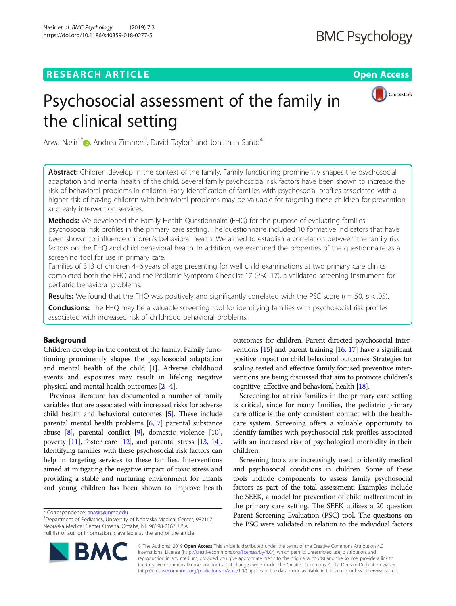## **RESEARCH ARTICLE Example 2014 12:30 The Open Access**



# Psychosocial assessment of the family in the clinical setting

Arwa Nasir<sup>1[\\*](http://orcid.org/0000-0003-3153-8172)</sup> (**b**, Andrea Zimmer<sup>2</sup>, David Taylor<sup>3</sup> and Jonathan Santo<sup>4</sup>

Abstract: Children develop in the context of the family. Family functioning prominently shapes the psychosocial adaptation and mental health of the child. Several family psychosocial risk factors have been shown to increase the risk of behavioral problems in children. Early identification of families with psychosocial profiles associated with a higher risk of having children with behavioral problems may be valuable for targeting these children for prevention and early intervention services.

Methods: We developed the Family Health Questionnaire (FHQ) for the purpose of evaluating families' psychosocial risk profiles in the primary care setting. The questionnaire included 10 formative indicators that have been shown to influence children's behavioral health. We aimed to establish a correlation between the family risk factors on the FHQ and child behavioral health. In addition, we examined the properties of the questionnaire as a screening tool for use in primary care.

Families of 313 of children 4–6 years of age presenting for well child examinations at two primary care clinics completed both the FHQ and the Pediatric Symptom Checklist 17 (PSC-17), a validated screening instrument for pediatric behavioral problems.

**Results:** We found that the FHQ was positively and significantly correlated with the PSC score  $(r = .50, p < .05)$ .

Conclusions: The FHQ may be a valuable screening tool for identifying families with psychosocial risk profiles associated with increased risk of childhood behavioral problems.

## Background

Children develop in the context of the family. Family functioning prominently shapes the psychosocial adaptation and mental health of the child [[1\]](#page-6-0). Adverse childhood events and exposures may result in lifelong negative physical and mental health outcomes [[2](#page-6-0)–[4](#page-6-0)].

Previous literature has documented a number of family variables that are associated with increased risks for adverse child health and behavioral outcomes [\[5\]](#page-6-0). These include parental mental health problems [[6](#page-6-0), [7\]](#page-6-0) parental substance abuse [[8](#page-6-0)], parental conflict [[9](#page-6-0)], domestic violence [\[10](#page-6-0)], poverty  $[11]$  $[11]$  $[11]$ , foster care  $[12]$  $[12]$ , and parental stress  $[13, 14]$  $[13, 14]$  $[13, 14]$  $[13, 14]$  $[13, 14]$ . Identifying families with these psychosocial risk factors can help in targeting services to these families. Interventions aimed at mitigating the negative impact of toxic stress and providing a stable and nurturing environment for infants and young children has been shown to improve health outcomes for children. Parent directed psychosocial interventions [[15\]](#page-6-0) and parent training [\[16](#page-6-0), [17\]](#page-6-0) have a significant positive impact on child behavioral outcomes. Strategies for scaling tested and effective family focused preventive interventions are being discussed that aim to promote children's cognitive, affective and behavioral health [\[18\]](#page-6-0).

Screening for at risk families in the primary care setting is critical, since for many families, the pediatric primary care office is the only consistent contact with the healthcare system. Screening offers a valuable opportunity to identify families with psychosocial risk profiles associated with an increased risk of psychological morbidity in their children.

Screening tools are increasingly used to identify medical and psychosocial conditions in children. Some of these tools include components to assess family psychosocial factors as part of the total assessment. Examples include the SEEK, a model for prevention of child maltreatment in the primary care setting. The SEEK utilizes a 20 question Parent Screening Evaluation (PSC) tool. The questions on the PSC were validated in relation to the individual factors



© The Author(s). 2019 **Open Access** This article is distributed under the terms of the Creative Commons Attribution 4.0 International License [\(http://creativecommons.org/licenses/by/4.0/](http://creativecommons.org/licenses/by/4.0/)), which permits unrestricted use, distribution, and reproduction in any medium, provided you give appropriate credit to the original author(s) and the source, provide a link to the Creative Commons license, and indicate if changes were made. The Creative Commons Public Domain Dedication waiver [\(http://creativecommons.org/publicdomain/zero/1.0/](http://creativecommons.org/publicdomain/zero/1.0/)) applies to the data made available in this article, unless otherwise stated.

<sup>\*</sup> Correspondence: [anasir@unmc.edu](mailto:anasir@unmc.edu) <sup>1</sup>

<sup>&</sup>lt;sup>1</sup>Department of Pediatrics, University of Nebraska Medical Center, 982167 Nebraska Medical Center Omaha, Omaha, NE 98198-2167, USA Full list of author information is available at the end of the article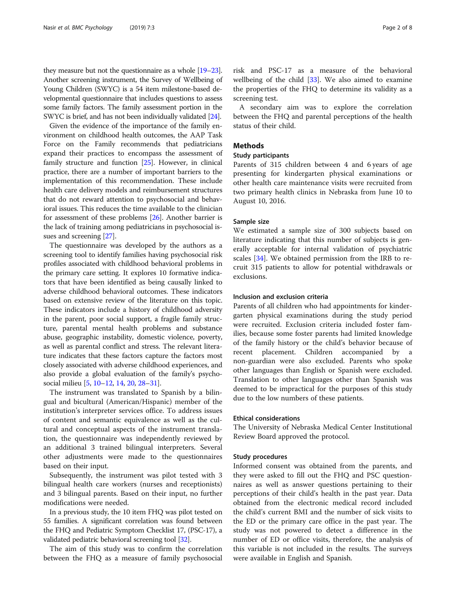they measure but not the questionnaire as a whole [[19](#page-6-0)–[23](#page-6-0)]. Another screening instrument, the Survey of Wellbeing of Young Children (SWYC) is a 54 item milestone-based developmental questionnaire that includes questions to assess some family factors. The family assessment portion in the SWYC is brief, and has not been individually validated [[24](#page-6-0)].

Given the evidence of the importance of the family environment on childhood health outcomes, the AAP Task Force on the Family recommends that pediatricians expand their practices to encompass the assessment of family structure and function [[25](#page-6-0)]. However, in clinical practice, there are a number of important barriers to the implementation of this recommendation. These include health care delivery models and reimbursement structures that do not reward attention to psychosocial and behavioral issues. This reduces the time available to the clinician for assessment of these problems [[26](#page-6-0)]. Another barrier is the lack of training among pediatricians in psychosocial issues and screening [\[27\]](#page-6-0).

The questionnaire was developed by the authors as a screening tool to identify families having psychosocial risk profiles associated with childhood behavioral problems in the primary care setting. It explores 10 formative indicators that have been identified as being causally linked to adverse childhood behavioral outcomes. These indicators based on extensive review of the literature on this topic. These indicators include a history of childhood adversity in the parent, poor social support, a fragile family structure, parental mental health problems and substance abuse, geographic instability, domestic violence, poverty, as well as parental conflict and stress. The relevant literature indicates that these factors capture the factors most closely associated with adverse childhood experiences, and also provide a global evaluation of the family's psychosocial milieu [\[5](#page-6-0), [10](#page-6-0)–[12](#page-6-0), [14](#page-6-0), [20,](#page-6-0) [28](#page-6-0)–[31\]](#page-6-0).

The instrument was translated to Spanish by a bilingual and bicultural (American/Hispanic) member of the institution's interpreter services office. To address issues of content and semantic equivalence as well as the cultural and conceptual aspects of the instrument translation, the questionnaire was independently reviewed by an additional 3 trained bilingual interpreters. Several other adjustments were made to the questionnaires based on their input.

Subsequently, the instrument was pilot tested with 3 bilingual health care workers (nurses and receptionists) and 3 bilingual parents. Based on their input, no further modifications were needed.

In a previous study, the 10 item FHQ was pilot tested on 55 families. A significant correlation was found between the FHQ and Pediatric Symptom Checklist 17, (PSC-17), a validated pediatric behavioral screening tool [[32](#page-6-0)].

The aim of this study was to confirm the correlation between the FHQ as a measure of family psychosocial

risk and PSC-17 as a measure of the behavioral wellbeing of the child [[33](#page-6-0)]. We also aimed to examine the properties of the FHQ to determine its validity as a screening test.

A secondary aim was to explore the correlation between the FHQ and parental perceptions of the health status of their child.

## Methods

## Study participants

Parents of 315 children between 4 and 6 years of age presenting for kindergarten physical examinations or other health care maintenance visits were recruited from two primary health clinics in Nebraska from June 10 to August 10, 2016.

## Sample size

We estimated a sample size of 300 subjects based on literature indicating that this number of subjects is generally acceptable for internal validation of psychiatric scales [[34](#page-6-0)]. We obtained permission from the IRB to recruit 315 patients to allow for potential withdrawals or exclusions.

## Inclusion and exclusion criteria

Parents of all children who had appointments for kindergarten physical examinations during the study period were recruited. Exclusion criteria included foster families, because some foster parents had limited knowledge of the family history or the child's behavior because of recent placement. Children accompanied by a non-guardian were also excluded. Parents who spoke other languages than English or Spanish were excluded. Translation to other languages other than Spanish was deemed to be impractical for the purposes of this study due to the low numbers of these patients.

## Ethical considerations

The University of Nebraska Medical Center Institutional Review Board approved the protocol.

## Study procedures

Informed consent was obtained from the parents, and they were asked to fill out the FHQ and PSC questionnaires as well as answer questions pertaining to their perceptions of their child's health in the past year. Data obtained from the electronic medical record included the child's current BMI and the number of sick visits to the ED or the primary care office in the past year. The study was not powered to detect a difference in the number of ED or office visits, therefore, the analysis of this variable is not included in the results. The surveys were available in English and Spanish.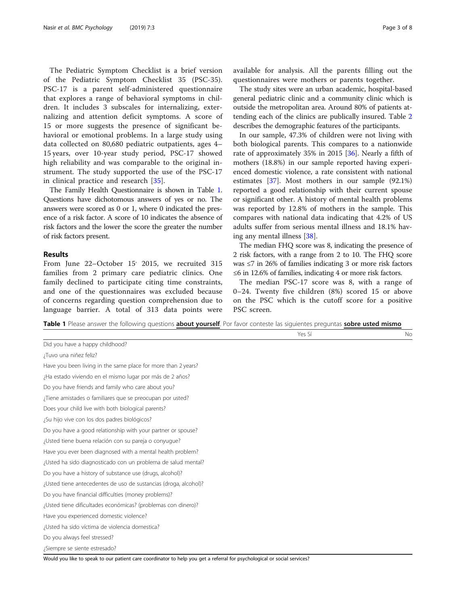The Pediatric Symptom Checklist is a brief version of the Pediatric Symptom Checklist 35 (PSC-35). PSC-17 is a parent self-administered questionnaire that explores a range of behavioral symptoms in children. It includes 3 subscales for internalizing, externalizing and attention deficit symptoms. A score of 15 or more suggests the presence of significant behavioral or emotional problems. In a large study using data collected on 80,680 pediatric outpatients, ages 4– 15 years, over 10-year study period, PSC-17 showed high reliability and was comparable to the original instrument. The study supported the use of the PSC-17 in clinical practice and research [\[35](#page-6-0)].

The Family Health Questionnaire is shown in Table 1. Questions have dichotomous answers of yes or no. The answers were scored as 0 or 1, where 0 indicated the presence of a risk factor. A score of 10 indicates the absence of risk factors and the lower the score the greater the number of risk factors present.

## Results

From June 22-October 15<sup>'</sup> 2015, we recruited 315 families from 2 primary care pediatric clinics. One family declined to participate citing time constraints, and one of the questionnaires was excluded because of concerns regarding question comprehension due to language barrier. A total of 313 data points were

available for analysis. All the parents filling out the questionnaires were mothers or parents together.

The study sites were an urban academic, hospital-based general pediatric clinic and a community clinic which is outside the metropolitan area. Around 80% of patients attending each of the clinics are publically insured. Table [2](#page-3-0) describes the demographic features of the participants.

In our sample, 47.3% of children were not living with both biological parents. This compares to a nationwide rate of approximately 35% in 2015 [[36\]](#page-6-0). Nearly a fifth of mothers (18.8%) in our sample reported having experienced domestic violence, a rate consistent with national estimates [[37\]](#page-6-0). Most mothers in our sample (92.1%) reported a good relationship with their current spouse or significant other. A history of mental health problems was reported by 12.8% of mothers in the sample. This compares with national data indicating that 4.2% of US adults suffer from serious mental illness and 18.1% having any mental illness [[38\]](#page-6-0).

The median FHQ score was 8, indicating the presence of 2 risk factors, with a range from 2 to 10. The FHQ score was ≤7 in 26% of families indicating 3 or more risk factors ≤6 in 12.6% of families, indicating 4 or more risk factors.

The median PSC-17 score was 8, with a range of 0–24. Twenty five children (8%) scored 15 or above on the PSC which is the cutoff score for a positive PSC screen.

Table 1 Please answer the following questions about yourself. Por favor conteste las siguientes preguntas sobre usted mismo

|                                                                  | Yes Sí | No |
|------------------------------------------------------------------|--------|----|
| Did you have a happy childhood?                                  |        |    |
| ¿Tuvo una niñez feliz?                                           |        |    |
| Have you been living in the same place for more than 2 years?    |        |    |
| ¿Ha estado viviendo en el mismo lugar por más de 2 años?         |        |    |
| Do you have friends and family who care about you?               |        |    |
| ¿Tiene amistades o familiares que se preocupan por usted?        |        |    |
| Does your child live with both biological parents?               |        |    |
| ¿Su hijo vive con los dos padres biológicos?                     |        |    |
| Do you have a good relationship with your partner or spouse?     |        |    |
| ¿Usted tiene buena relación con su pareja o conyugue?            |        |    |
| Have you ever been diagnosed with a mental health problem?       |        |    |
| ¿Usted ha sido diagnosticado con un problema de salud mental?    |        |    |
| Do you have a history of substance use (drugs, alcohol)?         |        |    |
| ¿Usted tiene antecedentes de uso de sustancias (droga, alcohol)? |        |    |
| Do you have financial difficulties (money problems)?             |        |    |
| ¿Usted tiene dificultades económicas? (problemas con dinero)?    |        |    |
| Have you experienced domestic violence?                          |        |    |
| ¿Usted ha sido víctima de violencia domestica?                   |        |    |
| Do you always feel stressed?                                     |        |    |
| ¿Siempre se siente estresado?                                    |        |    |

Would you like to speak to our patient care coordinator to help you get a referral for psychological or social services?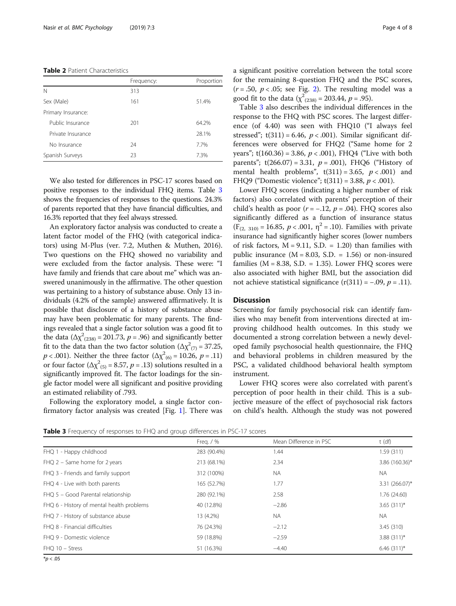#### <span id="page-3-0"></span>Table 2 Patient Characteristics

|                    | Frequency: | Proportion |
|--------------------|------------|------------|
| N                  | 313        |            |
| Sex (Male)         | 161        | 51.4%      |
| Primary Insurance: |            |            |
| Public Insurance   | 201        | 64.2%      |
| Private Insurance  |            | 28.1%      |
| No Insurance       | 24         | 7.7%       |
| Spanish Surveys    | 23         | 7.3%       |
|                    |            |            |

We also tested for differences in PSC-17 scores based on positive responses to the individual FHQ items. Table 3 shows the frequencies of responses to the questions. 24.3% of parents reported that they have financial difficulties, and 16.3% reported that they feel always stressed.

An exploratory factor analysis was conducted to create a latent factor model of the FHQ (with categorical indicators) using M-Plus (ver. 7.2, Muthen & Muthen, 2016). Two questions on the FHQ showed no variability and were excluded from the factor analysis. These were: "I have family and friends that care about me" which was answered unanimously in the affirmative. The other question was pertaining to a history of substance abuse. Only 13 individuals (4.2% of the sample) answered affirmatively. It is possible that disclosure of a history of substance abuse may have been problematic for many parents. The findings revealed that a single factor solution was a good fit to the data ( $\Delta \chi^2_{(238)} = 201.73$ ,  $p = .96$ ) and significantly better fit to the data than the two factor solution ( $\Delta \chi^2_{(7)} = 37.25$ ,  $p < .001$ ). Neither the three factor ( $\Delta \chi^2_{(6)} = 10.26$ ,  $p = .11$ ) or four factor ( $\Delta \chi^2_{(5)} = 8.57$ ,  $p = .13$ ) solutions resulted in a significantly improved fit. The factor loadings for the single factor model were all significant and positive providing an estimated reliability of .793.

Following the exploratory model, a single factor confirmatory factor analysis was created [Fig. [1\]](#page-4-0). There was a significant positive correlation between the total score for the remaining 8-question FHQ and the PSC scores,  $(r = .50, p < .05;$  see Fig. [2\)](#page-4-0). The resulting model was a good fit to the data ( $\chi^2_{(238)}$  = 203.44,  $p$  = .95).

Table 3 also describes the individual differences in the response to the FHQ with PSC scores. The largest difference (of 4.40) was seen with FHQ10 ("I always feel stressed";  $t(311) = 6.46$ ,  $p < .001$ ). Similar significant differences were observed for FHQ2 ("Same home for 2 years";  $t(160.36) = 3.86$ ,  $p < .001$ ), FHO4 ("Live with both parents";  $t(266.07) = 3.31$ ,  $p = .001$ ), FHQ6 ("History of mental health problems",  $t(311) = 3.65$ ,  $p < .001$ ) and FHQ9 ("Domestic violence";  $t(311) = 3.88, p < .001$ ).

Lower FHQ scores (indicating a higher number of risk factors) also correlated with parents' perception of their child's health as poor  $(r = -.12, p = .04)$ . FHQ scores also significantly differed as a function of insurance status  $(F_{(2, 310)} = 16.85, p < .001, \eta^2 = .10)$ . Families with private insurance had significantly higher scores (lower numbers of risk factors,  $M = 9.11$ , S.D. = 1.20) than families with public insurance  $(M = 8.03, S.D. = 1.56)$  or non-insured families ( $M = 8.38$ , S.D. = 1.35). Lower FHQ scores were also associated with higher BMI, but the association did not achieve statistical significance  $(r(311) = -.09, p = .11)$ .

## **Discussion**

Screening for family psychosocial risk can identify families who may benefit from interventions directed at improving childhood health outcomes. In this study we documented a strong correlation between a newly developed family psychosocial health questionnaire, the FHQ and behavioral problems in children measured by the PSC, a validated childhood behavioral health symptom instrument.

Lower FHQ scores were also correlated with parent's perception of poor health in their child. This is a subjective measure of the effect of psychosocial risk factors on child's health. Although the study was not powered

Table 3 Frequency of responses to FHQ and group differences in PSC-17 scores

|                                           | Freq. $/$ % | Mean Difference in PSC | $t$ (df)        |
|-------------------------------------------|-------------|------------------------|-----------------|
| FHQ 1 - Happy childhood                   | 283 (90.4%) | 1.44                   | 1.59(311)       |
| $FHQ$ 2 – Same home for 2 years           | 213 (68.1%) | 2.34                   | 3.86 (160.36)*  |
| FHQ 3 - Friends and family support        | 312 (100%)  | <b>NA</b>              | <b>NA</b>       |
| FHQ 4 - Live with both parents            | 165 (52.7%) | 1.77                   | 3.31 (266.07)*  |
| FHQ 5 - Good Parental relationship        | 280 (92.1%) | 2.58                   | 1.76 (24.60)    |
| FHQ 6 - History of mental health problems | 40 (12.8%)  | $-2.86$                | $3.65(311)^{*}$ |
| FHQ 7 - History of substance abuse        | 13 (4.2%)   | <b>NA</b>              | <b>NA</b>       |
| FHO 8 - Financial difficulties            | 76 (24.3%)  | $-2.12$                | 3.45 (310)      |
| FHO 9 - Domestic violence                 | 59 (18.8%)  | $-2.59$                | $3.88(311)^{*}$ |
| FHQ 10 - Stress                           | 51 (16.3%)  | $-4.40$                | $6.46(311)^{*}$ |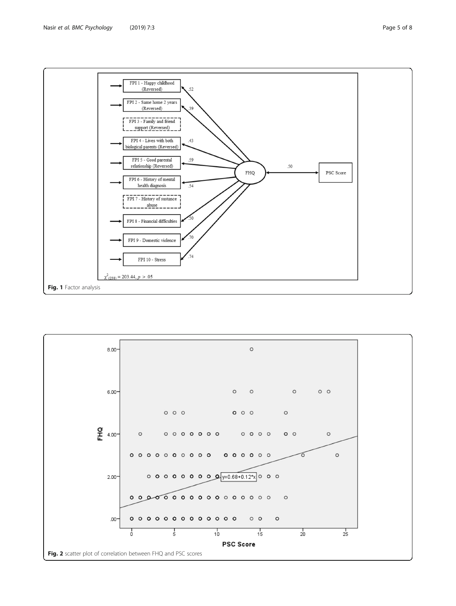<span id="page-4-0"></span>

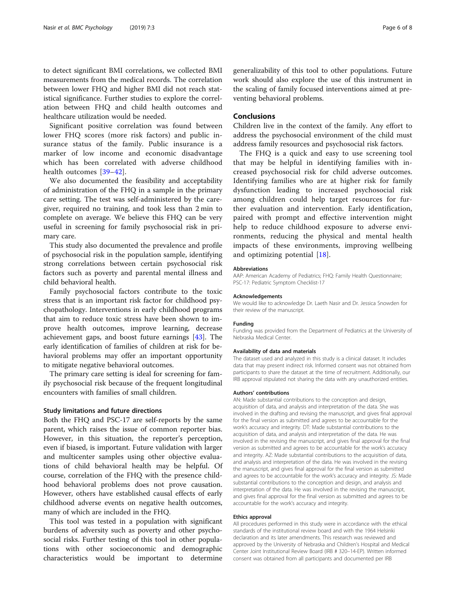to detect significant BMI correlations, we collected BMI measurements from the medical records. The correlation between lower FHQ and higher BMI did not reach statistical significance. Further studies to explore the correlation between FHQ and child health outcomes and healthcare utilization would be needed.

Significant positive correlation was found between lower FHQ scores (more risk factors) and public insurance status of the family. Public insurance is a marker of low income and economic disadvantage which has been correlated with adverse childhood health outcomes [[39](#page-6-0)–[42\]](#page-7-0).

We also documented the feasibility and acceptability of administration of the FHQ in a sample in the primary care setting. The test was self-administered by the caregiver, required no training, and took less than 2 min to complete on average. We believe this FHQ can be very useful in screening for family psychosocial risk in primary care.

This study also documented the prevalence and profile of psychosocial risk in the population sample, identifying strong correlations between certain psychosocial risk factors such as poverty and parental mental illness and child behavioral health.

Family psychosocial factors contribute to the toxic stress that is an important risk factor for childhood psychopathology. Interventions in early childhood programs that aim to reduce toxic stress have been shown to improve health outcomes, improve learning, decrease achievement gaps, and boost future earnings [[43](#page-7-0)]. The early identification of families of children at risk for behavioral problems may offer an important opportunity to mitigate negative behavioral outcomes.

The primary care setting is ideal for screening for family psychosocial risk because of the frequent longitudinal encounters with families of small children.

#### Study limitations and future directions

Both the FHQ and PSC-17 are self-reports by the same parent, which raises the issue of common reporter bias. However, in this situation, the reporter's perception, even if biased, is important. Future validation with larger and multicenter samples using other objective evaluations of child behavioral health may be helpful. Of course, correlation of the FHQ with the presence childhood behavioral problems does not prove causation. However, others have established causal effects of early childhood adverse events on negative health outcomes, many of which are included in the FHQ.

This tool was tested in a population with significant burdens of adversity such as poverty and other psychosocial risks. Further testing of this tool in other populations with other socioeconomic and demographic characteristics would be important to determine

generalizability of this tool to other populations. Future work should also explore the use of this instrument in the scaling of family focused interventions aimed at preventing behavioral problems.

## Conclusions

Children live in the context of the family. Any effort to address the psychosocial environment of the child must address family resources and psychosocial risk factors.

The FHQ is a quick and easy to use screening tool that may be helpful in identifying families with increased psychosocial risk for child adverse outcomes. Identifying families who are at higher risk for family dysfunction leading to increased psychosocial risk among children could help target resources for further evaluation and intervention. Early identification, paired with prompt and effective intervention might help to reduce childhood exposure to adverse environments, reducing the physical and mental health impacts of these environments, improving wellbeing and optimizing potential [[18\]](#page-6-0).

#### Abbreviations

AAP: American Academy of Pediatrics; FHQ: Family Health Questionnaire; PSC-17: Pediatric Symptom Checklist-17

#### Acknowledgements

We would like to acknowledge Dr. Laeth Nasir and Dr. Jessica Snowden for their review of the manuscript.

#### Funding

Funding was provided from the Department of Pediatrics at the University of Nebraska Medical Center.

#### Availability of data and materials

The dataset used and analyzed in this study is a clinical dataset. It includes data that may present indirect risk. Informed consent was not obtained from participants to share the dataset at the time of recruitment. Additionally, our IRB approval stipulated not sharing the data with any unauthorized entities.

#### Authors' contributions

AN: Made substantial contributions to the conception and design, acquisition of data, and analysis and interpretation of the data. She was involved in the drafting and revising the manuscript, and gives final approval for the final version as submitted and agrees to be accountable for the work's accuracy and integrity. DT: Made substantial contributions to the acquisition of data, and analysis and interpretation of the data. He was involved in the revising the manuscript, and gives final approval for the final version as submitted and agrees to be accountable for the work's accuracy and integrity. AZ: Made substantial contributions to the acquisition of data, and analysis and interpretation of the data. He was involved in the revising the manuscript, and gives final approval for the final version as submitted and agrees to be accountable for the work's accuracy and integrity. JS: Made substantial contributions to the conception and design, and analysis and interpretation of the data. He was involved in the revising the manuscript, and gives final approval for the final version as submitted and agrees to be accountable for the work's accuracy and integrity.

#### Ethics approval

All procedures performed in this study were in accordance with the ethical standards of the institutional review board and with the 1964 Helsinki declaration and its later amendments. This research was reviewed and approved by the University of Nebraska and Children's Hospital and Medical Center Joint Institutional Review Board (IRB # 320–14-EP). Written informed consent was obtained from all participants and documented per IRB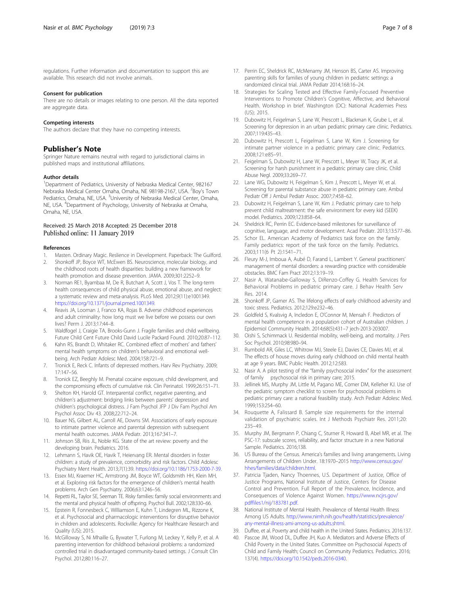<span id="page-6-0"></span>regulations. Further information and documentation to support this are available. This research did not involve animals.

#### Consent for publication

There are no details or images relating to one person. All the data reported are aggregate data.

#### Competing interests

The authors declare that they have no competing interests.

## Publisher's Note

Springer Nature remains neutral with regard to jurisdictional claims in published maps and institutional affiliations.

#### Author details

<sup>1</sup>Department of Pediatrics, University of Nebraska Medical Center, 982167 Nebraska Medical Center Omaha, Omaha, NE 98198-2167, USA. <sup>2</sup>Boy's Town Pediatrics, Omaha, NE, USA. <sup>3</sup>University of Nebraska Medical Center, Omaha, NE, USA. <sup>4</sup>Department of Psychology, University of Nebraska at Omaha, Omaha, NE, USA.

## Received: 25 March 2018 Accepted: 25 December 2018 Published online: 11 January 2019

#### References

- 1. Masten. Ordinary Magic. Reslience in Development. Paperback: The Guilford.
- 2. Shonkoff JP, Boyce WT, McEwen BS. Neuroscience, molecular biology, and the childhood roots of health disparities: building a new framework for health promotion and disease prevention. JAMA. 2009;301:2252–9.
- 3. Norman RE1, Byambaa M, De R, Butchart A, Scott J, Vos T. The long-term health consequences of child physical abuse, emotional abuse, and neglect: a systematic review and meta-analysis. PLoS Med. 2012;9(11):e1001349. [https://doi.org/10.1371/journal.pmed.1001349.](https://doi.org/10.1371/journal.pmed.1001349)
- 4. Reavis JA, Looman J, Franco KA, Rojas B. Adverse childhood experiences and adult criminality: how long must we live before we possess our own lives? Perm J. 2013;17:44–8.
- 5. Waldfogel J, Craigie TA, Brooks-Gunn J. Fragile families and child wellbeing. Future Child Cent Future Child David Lucile Packard Found. 2010;20:87–112.
- 6. Kahn RS, Brandt D, Whitaker RC. Combined effect of mothers' and fathers' mental health symptoms on children's behavioral and emotional wellbeing. Arch Pediatr Adolesc Med. 2004;158:721–9.
- 7. Tronick E, Reck C. Infants of depressed mothers. Harv Rev Psychiatry. 2009; 17:147–56.
- 8. Tronick EZ, Beeghly M. Prenatal cocaine exposure, child development, and the compromising effects of cumulative risk. Clin Perinatol. 1999;26:151–71.
- 9. Shelton KH, Harold GT. Interparental conflict, negative parenting, and children's adjustment: bridging links between parents' depression and children's psychological distress. J Fam Psychol JFP J Div Fam Psychol Am Psychol Assoc Div 43. 2008;22:712–24.
- 10. Bauer NS, Gilbert AL, Carroll AE, Downs SM. Associations of early exposure to intimate partner violence and parental depression with subsequent mental health outcomes. JAMA Pediatr. 2013;167:341–7.
- 11. Johnson SB, Riis JL, Noble KG. State of the art review: poverty and the developing brain. Pediatrics. 2016.
- 12. Lehmann S, Havik OE, Havik T, Heiervang ER. Mental disorders in foster children: a study of prevalence, comorbidity and risk factors. Child Adolesc Psychiatry Ment Health. 2013;7(1):39. [https://doi.org/10.1186/1753-2000-7-39.](https://doi.org/10.1186/1753-2000-7-39)
- 13. Essex MJ, Kraemer HC, Armstrong JM, Boyce WT, Goldsmith HH, Klein MH, et al. Exploring risk factors for the emergence of children's mental health problems. Arch Gen Psychiatry. 2006;63:1246–56.
- 14. Repetti RL, Taylor SE, Seeman TE. Risky families: family social environments and the mental and physical health of offspring. Psychol Bull. 2002;128:330–66.
- 15. Epstein R, Fonnesbeck C, Williamson E, Kuhn T, Lindegren ML, Rizzone K, et al. Psychosocial and pharmacologic interventions for disruptive behavior in children and adolescents. Rockville: Agency for Healthcare Research and Quality (US); 2015.
- 16. McGilloway S, Ni Mhaille G, Bywater T, Furlong M, Leckey Y, Kelly P, et al. A parenting intervention for childhood behavioral problems: a randomized controlled trial in disadvantaged community-based settings. J Consult Clin Psychol. 2012;80:116–27.
- 17. Perrin EC, Sheldrick RC, McMenamy JM, Henson BS, Carter AS. Improving parenting skills for families of young children in pediatric settings: a randomized clinical trial. JAMA Pediatr 2014;168:16–24.
- 18. Strategies for Scaling Tested and Effective Family-Focused Preventive Interventions to Promote Children's Cognitive, Affective, and Behavioral Health. Workshop in brief. Washington (DC): National Academies Press (US); 2015.
- 19. Dubowitz H, Feigelman S, Lane W, Prescott L, Blackman K, Grube L, et al. Screening for depression in an urban pediatric primary care clinic. Pediatrics. 2007;119:435–43.
- 20. Dubowitz H, Prescott L, Feigelman S, Lane W, Kim J. Screening for intimate partner violence in a pediatric primary care clinic. Pediatrics. 2008;121:e85–91.
- 21. Feigelman S, Dubowitz H, Lane W, Prescott L, Meyer W, Tracy JK, et al. Screening for harsh punishment in a pediatric primary care clinic. Child Abuse Negl. 2009;33:269–77.
- 22. Lane WG, Dubowitz H, Feigelman S, Kim J, Prescott L, Meyer W, et al. Screening for parental substance abuse in pediatric primary care. Ambul Pediatr Off J Ambul Pediatr Assoc. 2007;7:458–62.
- 23. Dubowitz H, Feigelman S, Lane W, Kim J. Pediatric primary care to help prevent child maltreatment: the safe environment for every kid (SEEK) model. Pediatrics. 2009;123:858–64.
- 24. Sheldrick RC, Perrin EC. Evidence-based milestones for surveillance of cognitive, language, and motor development. Acad Pediatr. 2013;13:577–86.
- 25. Schor EL. American Academy of Pediatrics task force on the family. Family pediatrics: report of the task force on the family. Pediatrics. 2003;111(6 Pt 2):1541–71.
- 26. Fleury M-J, Imboua A, Aubé D, Farand L, Lambert Y. General practitioners' management of mental disorders: a rewarding practice with considerable obstacles. BMC Fam Pract 2012;13:19–19.
- 27. Nasir A, Watanabe-Galloway S, DiRenzo-Coffey G. Health Services for Behavioral Problems in pediatric primary care. J Behav Health Serv Res. 2014.
- 28. Shonkoff JP, Garner AS. The lifelong effects of early childhood adversity and toxic stress. Pediatrics. 2012;129:e232–46.
- 29. Goldfeld S, Kvalsvig A, Incledon E, O'Connor M, Mensah F. Predictors of mental health competence in a population cohort of Australian children. J Epidemiol Community Health. 2014;68(5):431–7 jech-2013-203007.
- 30. Oishi S, Schimmack U. Residential mobility, well-being, and mortality. J Pers Soc Psychol. 2010;98:980–94.
- 31. Rumbold AR, Giles LC, Whitrow MJ, Steele EJ, Davies CE, Davies MJ, et al. The effects of house moves during early childhood on child mental health at age 9 years. BMC Public Health. 2012;12:583.
- 32. Nasir A. A pilot testing of the "family psychosocial index" for the assessment of family psychosocial risk in primary care; 2015.
- 33. Jellinek MS, Murphy JM, Little M, Pagano ME, Comer DM, Kelleher KJ. Use of the pediatric symptom checklist to screen for psychosocial problems in pediatric primary care: a national feasibility study. Arch Pediatr Adolesc Med. 1999;153:254–60.
- 34. Rouquette A, Falissard B. Sample size requirements for the internal validation of psychiatric scales. Int J Methods Psychiatr Res. 2011;20: 235–49.
- 35. Murphy JM, Bergmann P, Chiang C, Sturner R, Howard B, Abel MR, et al. The PSC-17: subscale scores, reliability, and factor structure in a new National Sample. Pediatrics. 2016;138.
- 36. US Bureau of the Census. America's families and living arrangements. Living Arrangements of Children Under. 18:1970–2015 [http://www.census.gov/](http://www.census.gov/hhes/families/data/children.html) [hhes/families/data/children.html.](http://www.census.gov/hhes/families/data/children.html)
- 37. Patricia Tjaden, Nancy Thoennes, U.S. Department of Justice, Office of Justice Programs, National Institute of Justice, Centers for Disease Control and Prevention. Full Report of the Prevalence, Incidence, and Consequences of Violence Against Women. [https://www.ncjrs.gov/](https://www.ncjrs.gov/pdffiles1/nij/183781.pdf) [pdffiles1/nij/183781.pdf.](https://www.ncjrs.gov/pdffiles1/nij/183781.pdf)
- 38. National Institute of Mental Health. Prevalence of Mental Health Illness Among US Adults. [http://www.nimh.nih.gov/health/statistics/prevalence/](http://www.nimh.nih.gov/health/statistics/prevalence/any-mental-illness-ami-among-us-adults.shtml) [any-mental-illness-ami-among-us-adults.shtml](http://www.nimh.nih.gov/health/statistics/prevalence/any-mental-illness-ami-among-us-adults.shtml).
- 39. Duffee, et al. Poverty and child health in the United States. Pediatrics. 2016:137.
- 40. Pascoe JM, Wood DL, Duffee JH, Kuo A. Mediators and Adverse Effects of Child Poverty in the United States. Committee on Psychosocial Aspects of Child and Family Health; Council on Community Pediatrics. Pediatrics. 2016; 137(4). [https://doi.org/10.1542/peds.2016-0340.](https://doi.org/10.1542/peds.2016-0340)